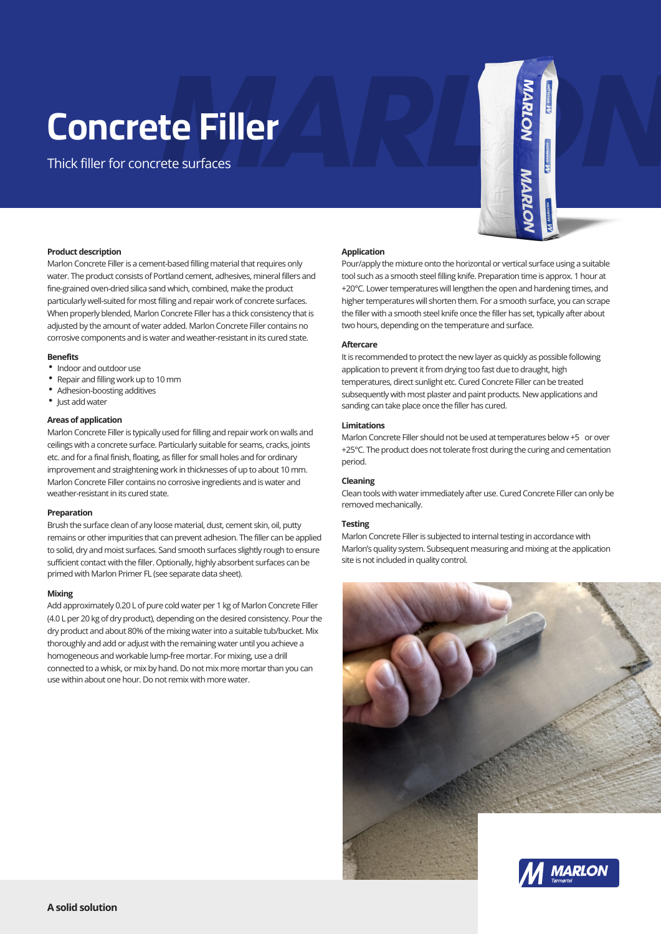# **Concrete Filler**

Thick filler for concrete surfaces



Marlon Concrete Filler is a cement-based filling material that requires only water. The product consists of Portland cement, adhesives, mineral fillers and fine-grained oven-dried silica sand which, combined, make the product particularly well-suited for most filling and repair work of concrete surfaces. When properly blended, Marlon Concrete Filler has a thick consistency that is adjusted by the amount of water added. Marlon Concrete Filler contains no corrosive components and is water and weather-resistant in its cured state.

#### **Benefits**

- Indoor and outdoor use
- Repair and filling work up to 10 mm
- Adhesion-boosting additives
- Just add water

#### **Areas of application**

Marlon Concrete Filler is typically used for filling and repair work on walls and ceilings with a concrete surface. Particularly suitable for seams, cracks, joints etc. and for a final finish, floating, as filler for small holes and for ordinary improvement and straightening work in thicknesses of up to about 10 mm. Marlon Concrete Filler contains no corrosive ingredients and is water and weather-resistant in its cured state.

#### **Preparation**

Brush the surface clean of any loose material, dust, cement skin, oil, putty remains or other impurities that can prevent adhesion. The filler can be applied to solid, dry and moist surfaces. Sand smooth surfaces slightly rough to ensure sufficient contact with the filler. Optionally, highly absorbent surfaces can be primed with Marlon Primer FL (see separate data sheet).

#### **Mixing**

Add approximately 0.20 L of pure cold water per 1 kg of Marlon Concrete Filler (4.0 L per 20 kg of dry product), depending on the desired consistency. Pour the dry product and about 80% of the mixing water into a suitable tub/bucket. Mix thoroughly and add or adjust with the remaining water until you achieve a homogeneous and workable lump-free mortar. For mixing, use a drill connected to a whisk, or mix by hand. Do not mix more mortar than you can use within about one hour. Do not remix with more water.

#### **Application**

Pour/apply the mixture onto the horizontal or vertical surface using a suitable tool such as a smooth steel filling knife. Preparation time is approx. 1 hour at +20°C. Lower temperatures will lengthen the open and hardening times, and higher temperatures will shorten them. For a smooth surface, you can scrape the filler with a smooth steel knife once the filler has set, typically after about two hours, depending on the temperature and surface.

**MARLON** 

**MARIC** 

#### **Aftercare**

It is recommended to protect the new layer as quickly as possible following application to prevent it from drying too fast due to draught, high temperatures, direct sunlight etc. Cured Concrete Filler can be treated subsequently with most plaster and paint products. New applications and sanding can take place once the filler has cured.

#### **Limitations**

Marlon Concrete Filler should not be used at temperatures below +5 or over +25°C. The product does not tolerate frost during the curing and cementation period.

#### **Cleaning**

Clean tools with water immediately after use. Cured Concrete Filler can only be removed mechanically.

# **Testing**

Marlon Concrete Filler is subjected to internal testing in accordance with Marlon's quality system. Subsequent measuring and mixing at the application site is not included in quality control.